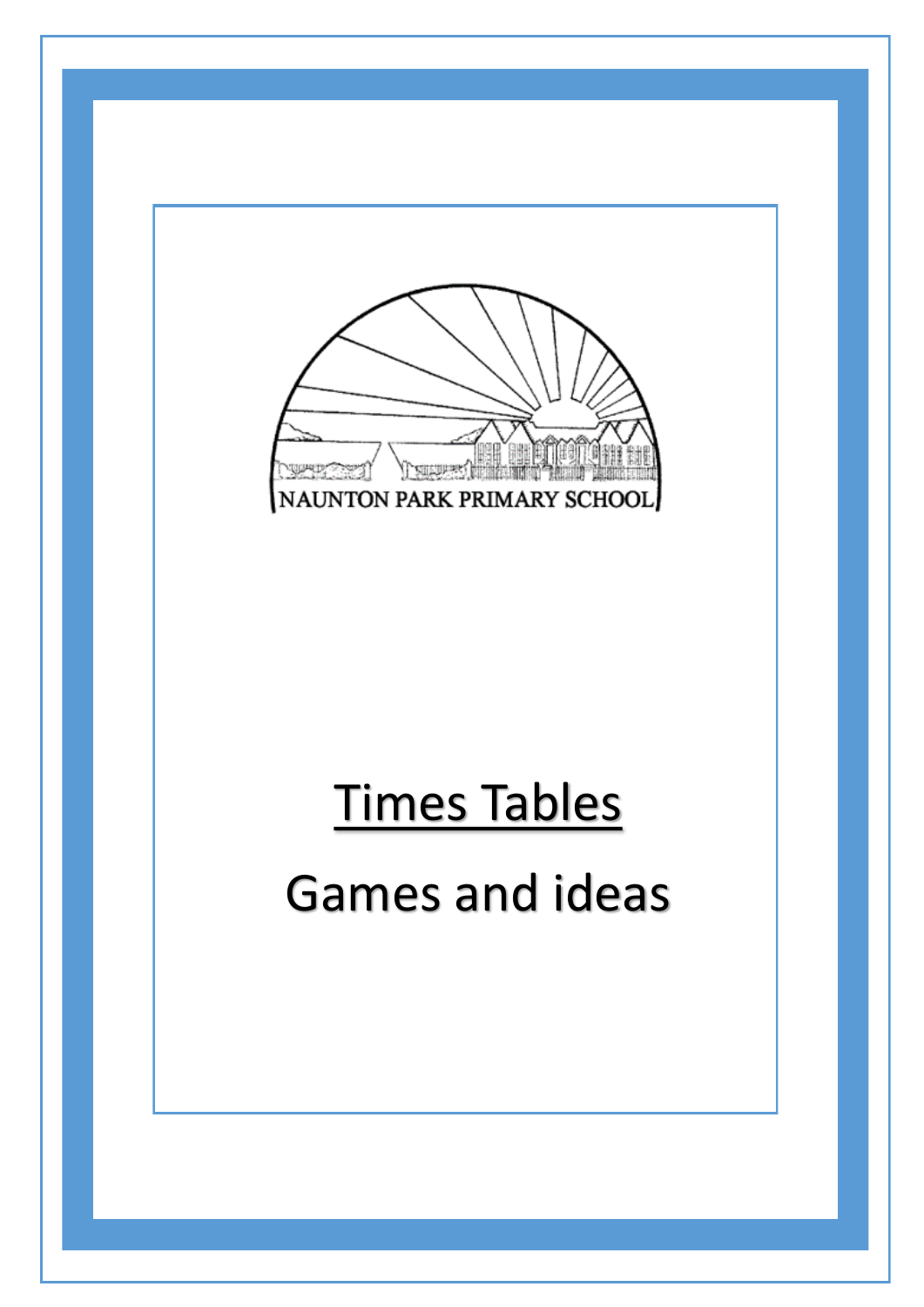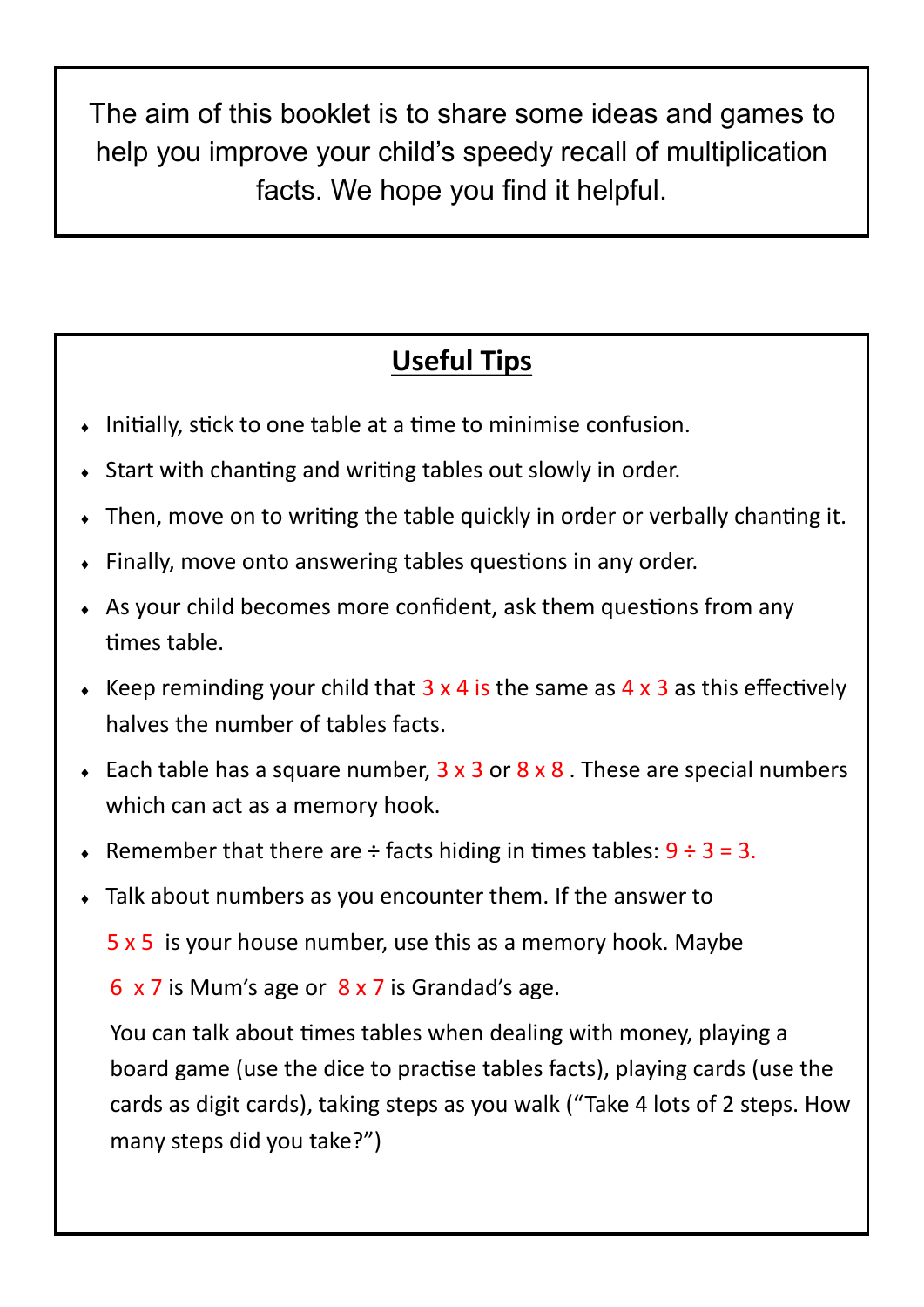The aim of this booklet is to share some ideas and games to help you improve your child's speedy recall of multiplication facts. We hope you find it helpful.

# **Useful Tips**

- $\bullet$  Initially, stick to one table at a time to minimise confusion.
- Start with chanting and writing tables out slowly in order.
- Then, move on to writing the table quickly in order or verbally chanting it.
- Finally, move onto answering tables questions in any order.
- As your child becomes more confident, ask them questions from any times table.
- Exemple reminding your child that  $3 \times 4$  is the same as  $4 \times 3$  as this effectively halves the number of tables facts.
- Each table has a square number,  $3 \times 3$  or  $8 \times 8$ . These are special numbers which can act as a memory hook.
- Remember that there are  $\div$  facts hiding in times tables:  $9 \div 3 = 3$ .
- Talk about numbers as you encounter them. If the answer to

5 x 5 is your house number, use this as a memory hook. Maybe

6 x 7 is Mum's age or 8 x 7 is Grandad's age.

You can talk about times tables when dealing with money, playing a board game (use the dice to practise tables facts), playing cards (use the cards as digit cards), taking steps as you walk ("Take 4 lots of 2 steps. How many steps did you take?")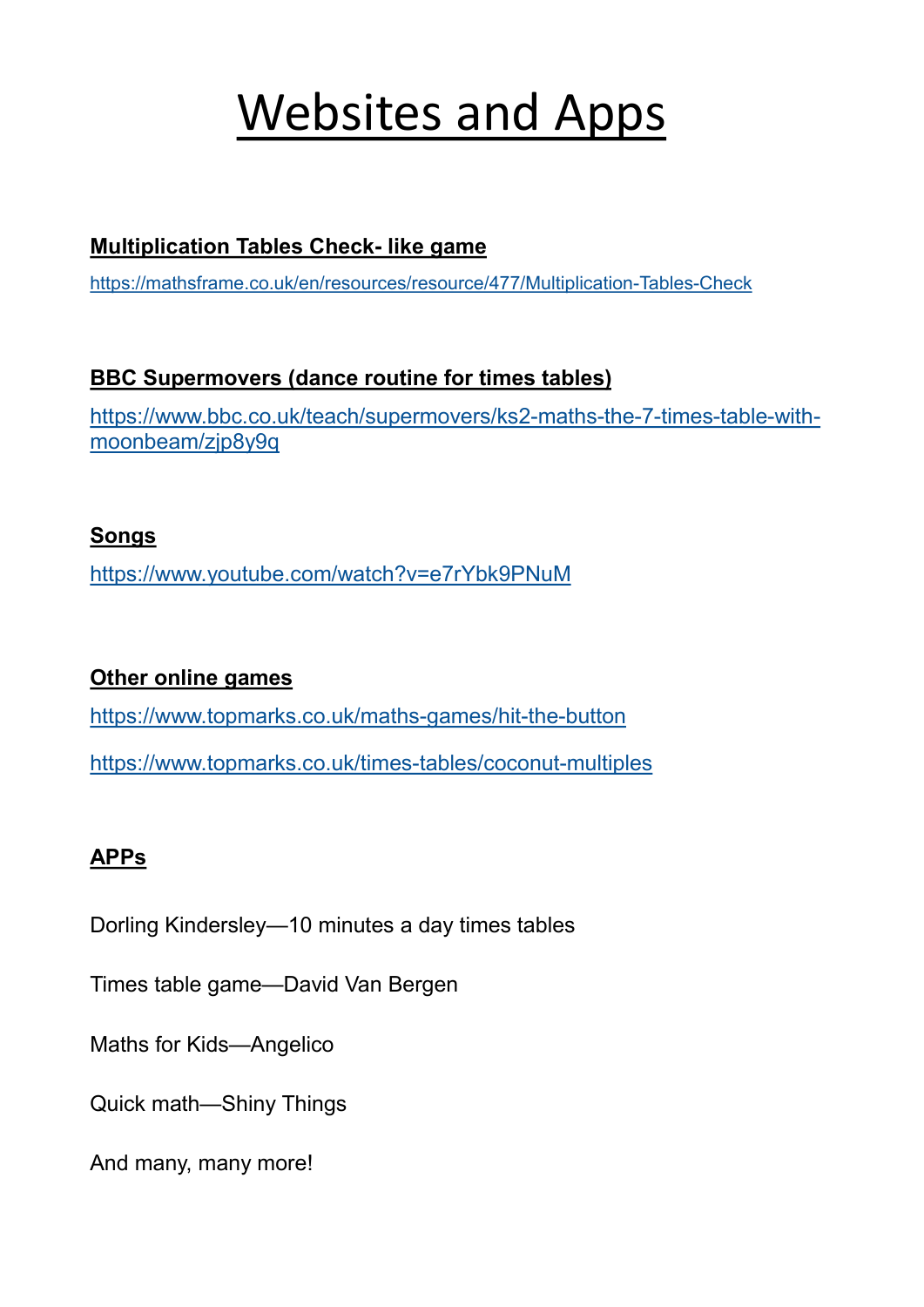# Websites and Apps

## **Multiplication Tables Check- like game**

[https://mathsframe.co.uk/en/resources/resource/477/Multiplication](https://mathsframe.co.uk/en/resources/resource/477/Multiplication-Tables-Check)-Tables-Check

## **BBC Supermovers (dance routine for times tables)**

[https://www.bbc.co.uk/teach/supermovers/ks2](https://www.bbc.co.uk/teach/supermovers/ks2-maths-the-7-times-table-with-moonbeam/zjp8y9q)-maths-the-7-times-table-with[moonbeam/zjp8y9q](https://www.bbc.co.uk/teach/supermovers/ks2-maths-the-7-times-table-with-moonbeam/zjp8y9q)

### **Songs**

<https://www.youtube.com/watch?v=e7rYbk9PNuM>

## **Other online games**

[https://www.topmarks.co.uk/maths](https://www.topmarks.co.uk/maths-games/hit-the-button)-games/hit-the-button

[https://www.topmarks.co.uk/times](https://www.topmarks.co.uk/times-tables/coconut-multiples)-tables/coconut-multiples

## **APPs**

Dorling Kindersley—10 minutes a day times tables

Times table game—David Van Bergen

Maths for Kids—Angelico

Quick math—Shiny Things

And many, many more!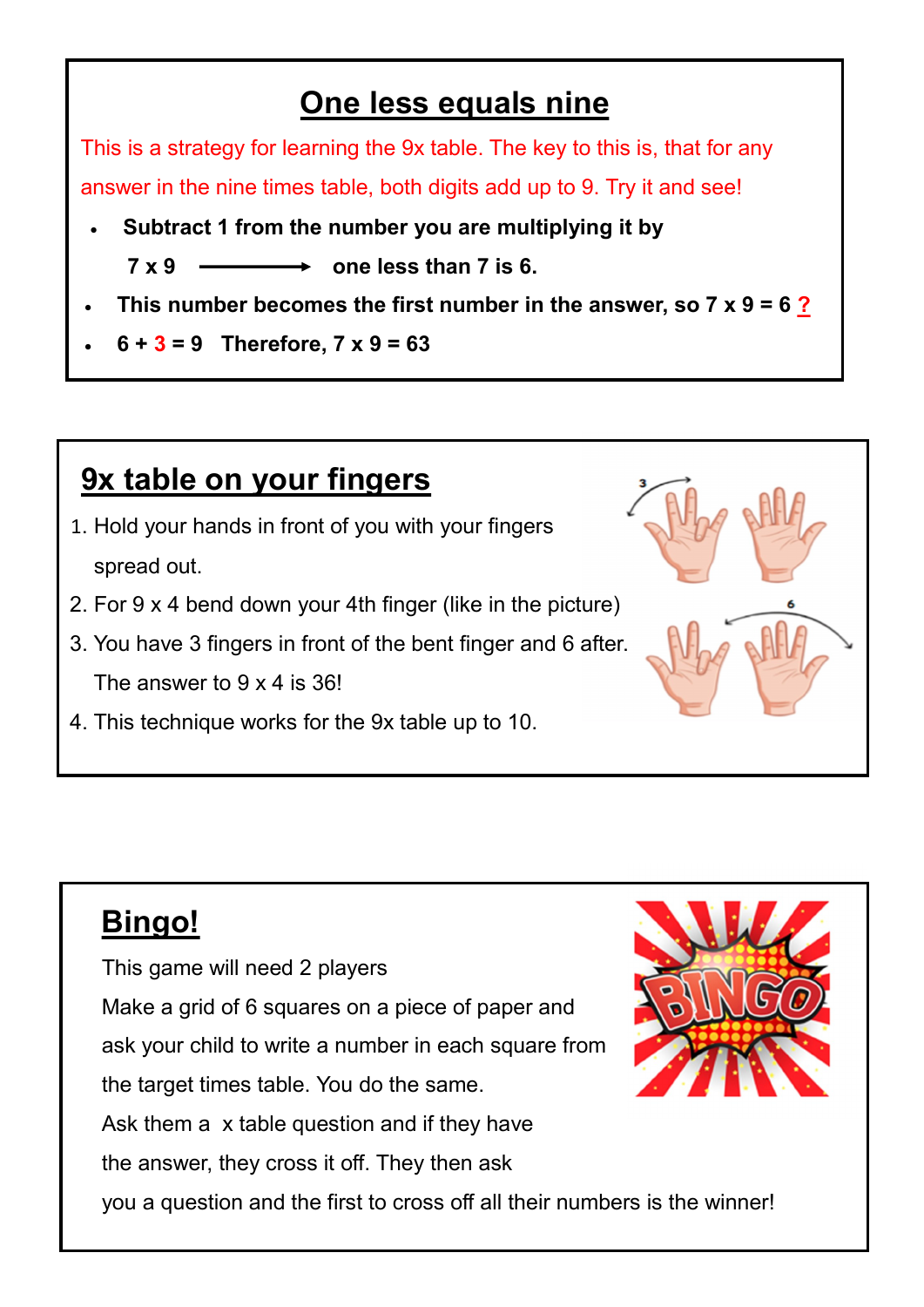# **One less equals nine**

This is a strategy for learning the 9x table. The key to this is, that for any answer in the nine times table, both digits add up to 9. Try it and see!

- **Subtract 1 from the number you are multiplying it by** 
	- $7 \times 9$   $\longrightarrow$  one less than 7 is 6.
- **This number becomes the first number in the answer, so 7 x 9 = 6 ?**
- **6 + 3 = 9 Therefore, 7 x 9 = 63**

# **9x table on your fingers**

֖֚֚֚֬

֖֚֚֚֬

- 1. Hold your hands in front of you with your fingers spread out.
- 2. For 9 x 4 bend down your 4th finger (like in the picture)
- 3. You have 3 fingers in front of the bent finger and 6 after. The answer to 9 x 4 is 36!
- 4. This technique works for the 9x table up to 10.

# **Bingo!** This game will need 2 players Make a grid of 6 squares on a piece of paper and ask your child to write a number in each square from

the target times table. You do the same.

Ask them a x table question and if they have

the answer, they cross it off. They then ask

you a question and the first to cross off all their numbers is the winner!

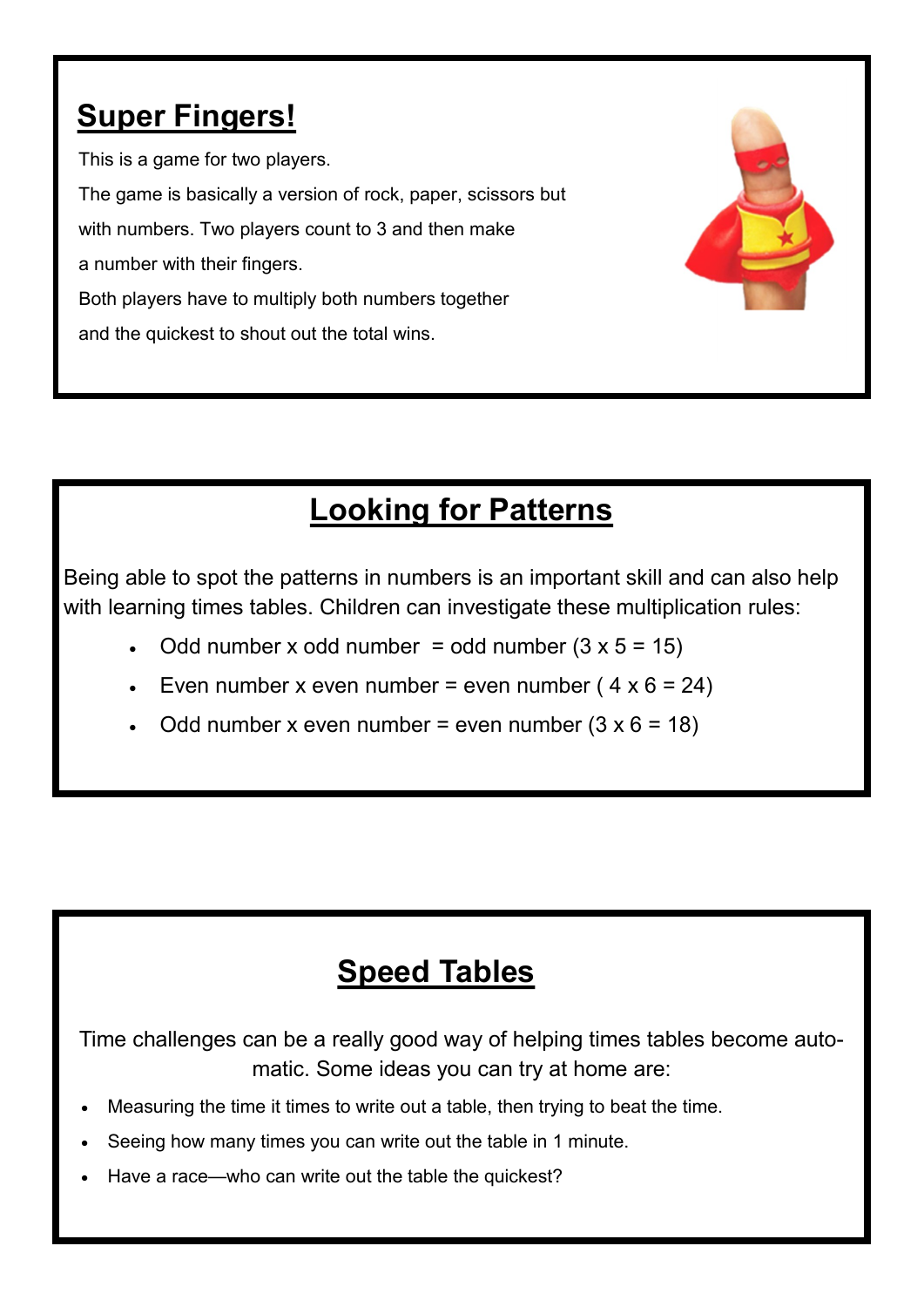# **Super Fingers!**

 This is a game for two players. The game is basically a version of rock, paper, scissors but with numbers. Two players count to 3 and then make a number with their fingers. Both players have to multiply both numbers together and the quickest to shout out the total wins.

# **Looking for Patterns**

Being able to spot the patterns in numbers is an important skill and can also help with learning times tables. Children can investigate these multiplication rules:

- Odd number x odd number = odd number  $(3 \times 5 = 15)$
- Even number x even number = even number  $(4 \times 6 = 24)$
- Odd number x even number = even number  $(3 \times 6 = 18)$

## **Speed Tables**

Time challenges can be a really good way of helping times tables become automatic. Some ideas you can try at home are:

- Measuring the time it times to write out a table, then trying to beat the time.
- Seeing how many times you can write out the table in 1 minute.
- Have a race—who can write out the table the quickest?